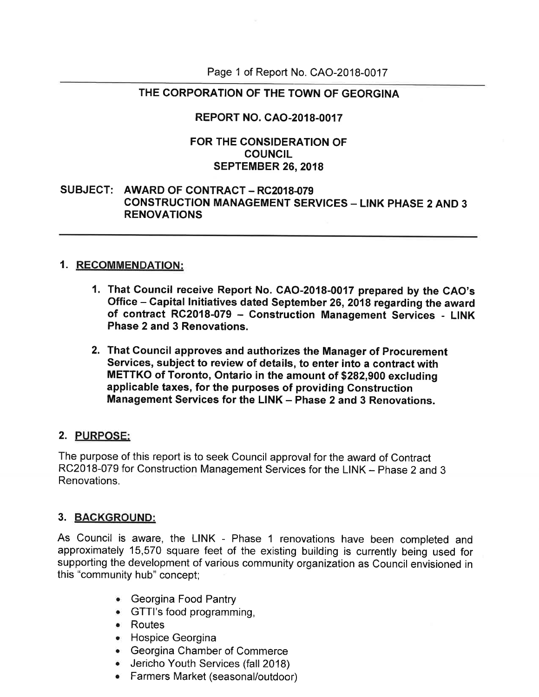Page 1 of Report No. CAO-2018-0017

## THE CORPORATION OF THE TOWN OF GEORGINA

## REPORT NO. CAO-2018-0017

#### FOR THE CONSIDERATION OF COUNCIL SEPTEMBER 26, 2018

### SUBJECT: AWARD OF CONTRACT - RC2018-079 CONSTRUCTION MANAGEMENT SERVICES - LINK PHASE 2 AND 3 RENOVATIONS

### 1. RECOMMENDATION:

- 1. That council receive Report No. GAo-2018-0017 prepared by the cAo's Office - Gapital lnitiatives dated September 26, 2018 regarding the award of contract RC2018-079 - Construction Management Services - LINK Phase 2and 3 Renovations.
- 2. That Council approves and authorizes the Manager of Procurement services, subject to review of details, to enter into a contract with METTKO of Toronto, Ontario in the amount of \$282,900 excluding applicable taxes, for the purposes of providing Construction Management Services for the LINK - Phase 2 and 3 Renovations.

### 2. PURPOSE:

The purpose of this report is to seek Council approval for the award of Contract RC2018-079 for Construction Management Services for the LINK - Phase 2 and 3 Renovations.

### 3. BAGKGROUND:

As Council is aware, the LINK - Phase 1 renovations have been completed and approximately 15,570 square feet of the existing building is currently being used for supporting the development of various community organization as Council envisioned in this "community hub" concept;

- . Georgina Food Pantry
- . GTTI's food programming,
- . Routes
- . Hospice Georgina
- . Georgina Chamber of Commerce
- **.** Jericho Youth Services (fall 2018)
- Farmers Market (seasonal/outdoor)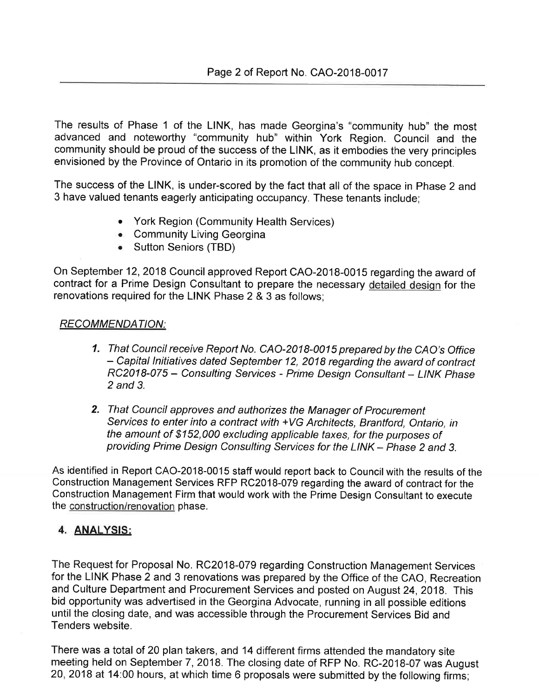The results of Phase 1 of the LINK, has made Georgina's "community hub" the most advanced and noteworthy "community hub" within York Region. Council and the community should be proud of the success of the LINK, as it embodies the very principles envisioned by the Province of Ontario in its promotion of the community hub concept.

The success of the LINK, is under-scored by the fact that all of the space in Phase 2 and 3 have valued tenants eagerly anticipating occupancy. These tenants include;

- York Region (Community Health Services)
- **.** Community Living Georgina
- Sutton Seniors (TBD)

On September 12,2018 Council approved Report CAO-2018-0015 regarding the award of contract for a Prime Design Consultant to prepare the necessary detailed design for the renovations required for the LINK Phase 2 & 3 as follows;

#### RECOMMENDATION:

- 1. That Council receive Report No. CAO-2018-0015 prepared by the CAO's Office - Capital lnitiatives dated September 12, 2018 regarding the award of contract RC2018-075 - Consulting Services - Prime Design Consultant - LINK Phase 2 and 3.
- 2. That Council approves and authorizes the Manager of Procurement Seryices to enter into a contract with +VG Architects, Brantford, Ontario, in the amount of \$152,000 excluding applicable taxes, for the purposes of providing Prime Design Consulting Services for the LINK - Phase 2 and 3.

As identified in Report CAO-2018-0015 staff would report back to Council with the results of the Construction Management Services RFP RC2018-079 regarding the award of contract for the Construction Management Firm that would work with the Prime Design Consultant to execute the construction/renovation phase.

## 4. ANALYSIS:

The Request for Proposal No. RC2018-079 regarding Construction Management Services for the LINK Phase 2 and 3 renovations was prepared by the Office of the CAO, Recreation and Culture Department and Procurement Services and posted on August 24,2018. This bid opportunity was advertised in the Georgina Advocate, running in all possible editions until the closing date, and was accessible through the Procurement Services Bid and Tenders website.

There was a total of 20 plan takers, and 14 different firms attended the mandatory site meeting held on September 7, 2018. The closing date of RFP No. RC-2018-07 was August 20,2018 at 14:00 hours, at which time 6 proposals were submitted by the following firms;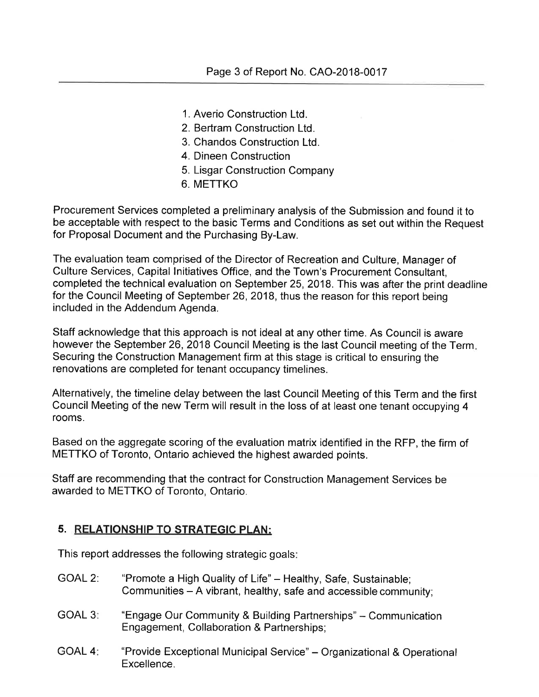- 1. Averio Construction Ltd.
- 2. Bertram Construction Ltd.
- 3. Chandos Construction Ltd.
- 4. Dineen Construction
- 5. Lisgar Construction Company
- 6. METTKO

Procurement Services completed a preliminary analysis of the Submission and found it to be acceptable with respect to the basic Terms and Conditions as set out within the Request for Proposal Document and the Purchasing By-Law.

The evaluation team comprised of the Director of Recreation and Culture, Manager of Culture Services, Capital lnitiatives Office, and the Town's Procurement Consultant, completed the technical evaluation on September 25,2018. This was after the print deadline for the Council Meeting of September 26, 2018, thus the reason for this report being included in the Addendum Agenda.

Staff acknowledge that this approach is not ideal at any other time. As Council is aware however the September 26, 2018 Council Meeting is the last Council meeting of the Term. Securing the Construction Management firm at this stage is critical to ensuring the renovations are completed for tenant occupancy timelines.

Alternatively, the timeline delay between the last Council Meeting of this Term and the first Council Meeting of the new Term will result in the loss of at least one tenant occupying 4 rooms.

Based on the aggregate scoring of the evaluation matrix identified in the RFP, the firm of METTKO of Toronto, Ontario achieved the highest awarded points.

Staff are recommending that the contract for Construction Management Services be awarded to METTKO of Toronto, Ontario.

## 5. RELATIONSHIP TO STRATEGIC PLAN:

This report addresses the following strategic goals

- GOAL 2: "Promote a High Quality of Life" Healthy, Safe, Sustainable; Communities - A vibrant, healthy, safe and accessible community;
- GOAL 3: "Engage Our Community & Building Partnerships" Communication Engagement, Collaboration & Partnerships;
- GOAL 4: "Provide Exceptional Municipal Service" Organizational & Operational Excellence.